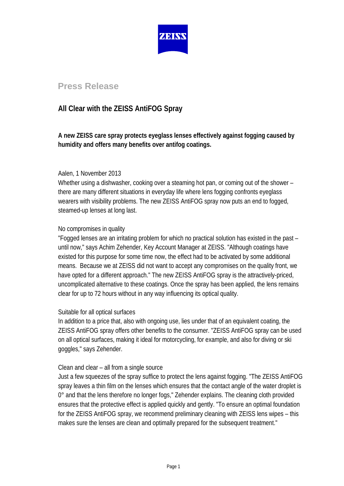

# **Press Release**

## **All Clear with the ZEISS AntiFOG Spray**

**A new ZEISS care spray protects eyeglass lenses effectively against fogging caused by humidity and offers many benefits over antifog coatings.**

### Aalen, 1 November 2013

Whether using a dishwasher, cooking over a steaming hot pan, or coming out of the shower – there are many different situations in everyday life where lens fogging confronts eyeglass wearers with visibility problems. The new ZEISS AntiFOG spray now puts an end to fogged, steamed-up lenses at long last.

## No compromises in quality

"Fogged lenses are an irritating problem for which no practical solution has existed in the past – until now," says Achim Zehender, Key Account Manager at ZEISS. "Although coatings have existed for this purpose for some time now, the effect had to be activated by some additional means. Because we at ZEISS did not want to accept any compromises on the quality front, we have opted for a different approach." The new ZEISS AntiFOG spray is the attractively-priced, uncomplicated alternative to these coatings. Once the spray has been applied, the lens remains clear for up to 72 hours without in any way influencing its optical quality.

### Suitable for all optical surfaces

In addition to a price that, also with ongoing use, lies under that of an equivalent coating, the ZEISS AntiFOG spray offers other benefits to the consumer. "ZEISS AntiFOG spray can be used on all optical surfaces, making it ideal for motorcycling, for example, and also for diving or ski goggles," says Zehender.

### Clean and clear – all from a single source

Just a few squeezes of the spray suffice to protect the lens against fogging. "The ZEISS AntiFOG spray leaves a thin film on the lenses which ensures that the contact angle of the water droplet is 0° and that the lens therefore no longer fogs," Zehender explains. The cleaning cloth provided ensures that the protective effect is applied quickly and gently. "To ensure an optimal foundation for the ZEISS AntiFOG spray, we recommend preliminary cleaning with ZEISS lens wipes – this makes sure the lenses are clean and optimally prepared for the subsequent treatment."